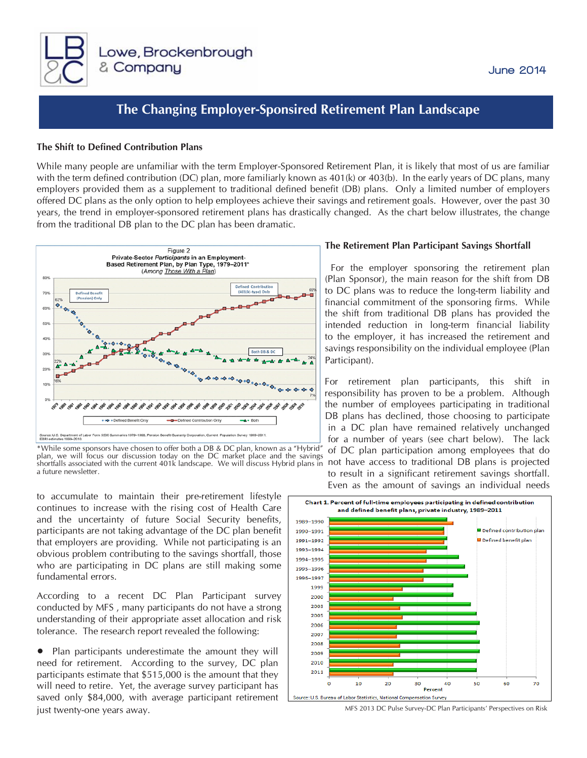

### June 2014

# **The Changing Employer-Sponsired Retirement Plan Landscape**

#### **The Shift to Defined Contribution Plans**

While many people are unfamiliar with the term Employer-Sponsored Retirement Plan, it is likely that most of us are familiar with the term defined contribution (DC) plan, more familiarly known as 401(k) or 403(b). In the early years of DC plans, many employers provided them as a supplement to traditional defined benefit (DB) plans. Only a limited number of employers offered DC plans as the only option to help employees achieve their savings and retirement goals. However, over the past 30 years, the trend in employer-sponsored retirement plans has drastically changed. As the chart below illustrates, the change from the traditional DB plan to the DC plan has been dramatic.



\*While some sponsors have chosen to offer both a DB & DC plan, known as a "Hybrid" plan, we will focus our discussion today on the DC market place and the savings shortfalls associated with the current 401k landscape. We will discuss Hybrid plans in a future newsletter.

to accumulate to maintain their pre-retirement lifestyle continues to increase with the rising cost of Health Care and the uncertainty of future Social Security benefits, participants are not taking advantage of the DC plan benefit that employers are providing. While not participating is an obvious problem contributing to the savings shortfall, those who are participating in DC plans are still making some fundamental errors.

According to a recent DC Plan Participant survey conducted by MFS , many participants do not have a strong understanding of their appropriate asset allocation and risk tolerance. The research report revealed the following:

• Plan participants underestimate the amount they will need for retirement. According to the survey, DC plan participants estimate that \$515,000 is the amount that they will need to retire. Yet, the average survey participant has saved only \$84,000, with average participant retirement just twenty-one years away. MFS 2013 DC Pulse Survey-DC Plan Participants' Perspectives on Risk

#### **The Retirement Plan Participant Savings Shortfall**

For the employer sponsoring the retirement plan (Plan Sponsor), the main reason for the shift from DB to DC plans was to reduce the long-term liability and financial commitment of the sponsoring firms. While the shift from traditional DB plans has provided the intended reduction in long-term financial liability to the employer, it has increased the retirement and savings responsibility on the individual employee (Plan Participant).

For retirement plan participants, this shift in responsibility has proven to be a problem. Although the number of employees participating in traditional DB plans has declined, those choosing to participate in a DC plan have remained relatively unchanged for a number of years (see chart below). The lack of DC plan participation among employees that do not have access to traditional DB plans is projected to result in a significant retirement savings shortfall. Even as the amount of savings an individual needs